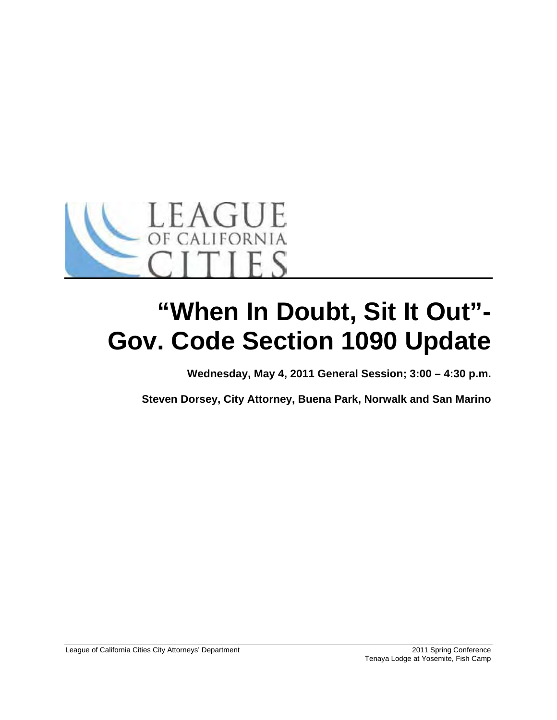

# **"When In Doubt, Sit It Out"- Gov. Code Section 1090 Update**

**Wednesday, May 4, 2011 General Session; 3:00 – 4:30 p.m.** 

**Steven Dorsey, City Attorney, Buena Park, Norwalk and San Marino**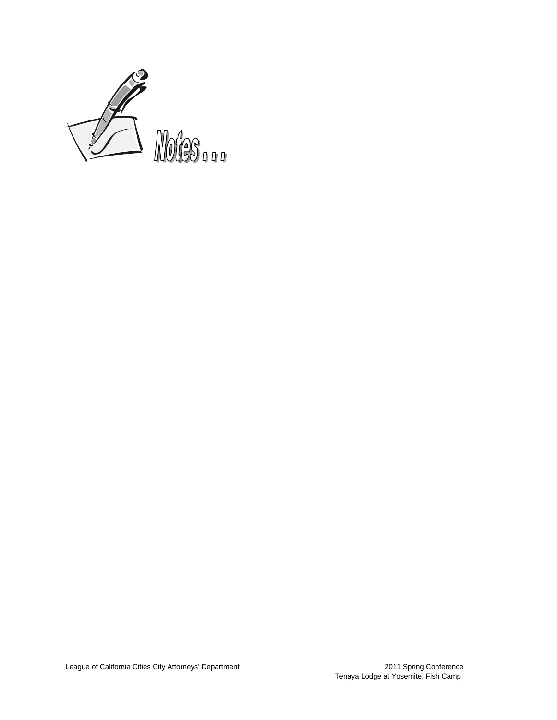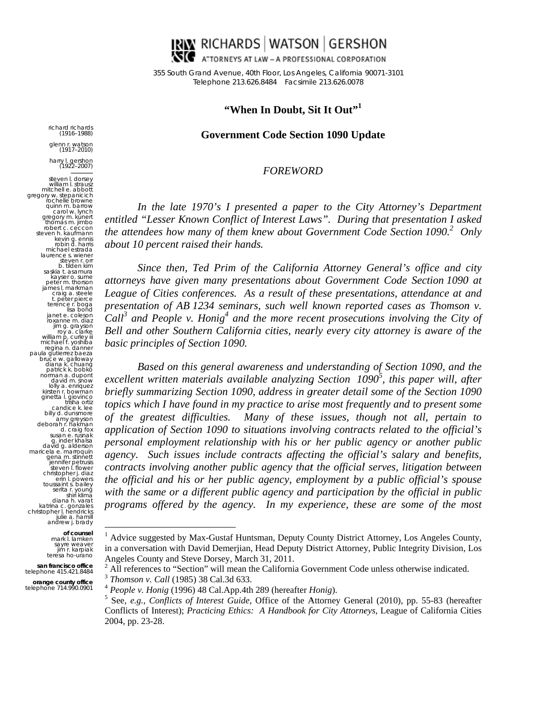

355 South Grand Avenue, 40th Floor, Los Angeles, California 90071-3101 Telep phone 213.626. .8484 Facsimil e 213.626.0078

# **"When In Doubt, S Sit It Out"1**

#### Government Code Section 1090 Update

#### $\it FOREWORD$

In the late 1970's I presented a paper to the City Attorney's Department *entitled* "Lesser Known Conflict of Interest Laws". During that presentation I asked *the attendees how many of them knew about Government Code Section 1090.*<sup>2</sup> Only *about 10 percent raised their hands.* 

*presentation of AB 1234 seminars, such well known reported cases as Thomson v.* Since then, Ted Prim of the California Attorney General's office and city attorneys have given many presentations about Government Code Section 1090 at League of Cities conferences. As a result of these presentations, attendance at and  $\int$ *Call<sup>3</sup>* and People v. Honig<sup>4</sup> and the more recent prosecutions involving the City of *Bell and other Southern California cities, nearly every city attorney is aware of the basic princip iples of Secti ion 1090.* 

*personal employment relationship with his or her public agency or another public programs offered by the agency.* In my experience, these are some of the most Based on this general awareness and understanding of Section 1090, and the *excellent written materials available analyzing Section 1090<sup>5</sup>, this paper will, after briefly summarizing Section 1090, address in greater detail some of the Section 1090 topics which I have found in my practice to arise most frequently and to present some of the greatest difficulties. Man* application of Section 1090 to situations involving contracts related to the official's agency. Such issues include contracts affecting the official's salary and benefits, *contracts involving another public agency that the official serves, litigation between the official and his or her public agency, employment by a public official's spouse* with the same or a different public agency and participation by the official in public *ny* of these issues, though not all, pertain to

<sup>2</sup> All references to "Section" will mean the California Governme<br>
<sup>3</sup> *Thomson v. Call* (1985) 38 Cal.3d 633.<br>
<sup>4</sup> *People v. Honig* (1996) 48 Cal.App.4th 289 (hereafter *Honig*).<br>
<sup>5</sup> See e.g. Conflicts of Interact Cuide All references to "Section" will mean the California Government Code unless otherwise indicated.<br> *Thomson v. Call* (1985) 38 Cal.3d 633.<br> *People v. Honig* (1996) 48 Cal.App.4th 289 (hereafter *Honig*).<br>
See, *e.g.*, *Con* es to "Section" will mean the California Government Code unless otherwise indicated.

*Call* (1985) 38 Cal.3d 633.

 $\overline{a}$ 

 $\overline{a}$ 

ric chard richards (1916–1988)

g glenn r. watson (1917–2010) h harry l. gershon (1922–2007) steven l. dorsey william I. strausz<br>mitchell e. abbott<br>gregory w. stepanicich rochelle browne<br>quinn m. barrow<br>carol w. lynch gregory m. kunert<br>thomas m. jimbo<br>robert c. ceccon<br>steven h. kaufmann mi laurence s. wiener<br>steven r. orr b. tilden kim<br>saskia t. asamura k kayser o. sume pe jam te ja ro willia<br>mich<br>reg<br>paula gu<br>bruce uče w. galloway<br>diana k. chuang<br>patrick k. bobko patrick k. bobkoّ<br>norman a. dupont<br>david m. snow lolly a. enriquez<br>kirsten r. bowman<br>ginetta l. giovinco bill debo su<br>g<br>maricela<br>maricela gena m. stinnett e<br>st<br>chri: tou katrina c. gonzales<br>christopher I. hendricks an ndrew j. brady m **of counsel** mark l. lamken gregory w. stepanicich<br>cochelle browne kevin g. ennis robin d. harris ichael estrada eter m. thorson mes l. markman craig a. steele t. peter pierce erence r. boga lisa bond net e. coleson oxanne m. diaz<br>
ijm g. grayson<br>
roy a. clarke<br>
lliam p. curley iii<br>
chael f. yoshiba<br>
gijna n. danner<br>
gutierrez baeza ten r. bowman<br>etta I. giovinco<br>trisha ortiz<br>candice k. lee<br>Ily d. dunsmore amy greyson orah r. hakman d. craig fox susan e. rusnak g. inder khalsa vid g. alderson a e. marroquín ennifer petrusis steven l. flower ristopher j. diaz erin l. powers ussaint s. bailey serita r. young<br>shiri klima diana h. varat julie a. hamill sayre weaver<br>jim r. karpiak

te jim r. karpiak eresa ho-urano san francisco office<br>telephone 415.421.8484  $\overline{a}$ 

**orange** telephone **e county office**  e 714.990.0901

<sup>1</sup> Advice suggested by Max-Gustaf Huntsman, Deputy County District Attorney, Los Angeles County, in a conversation with David Demerjian, Head Deputy District Attorney, Public Integrity Division, Los Angeles County and Steve Dorsey, March 31, 2011.<br> $\frac{2}{5}$  All references to "Section" will mean the Colifornia

Conflicts of Interest); *Practicing Ethics: A Handbook for City Attorneys*, League of California Cities 2004, pp. 23-2 28.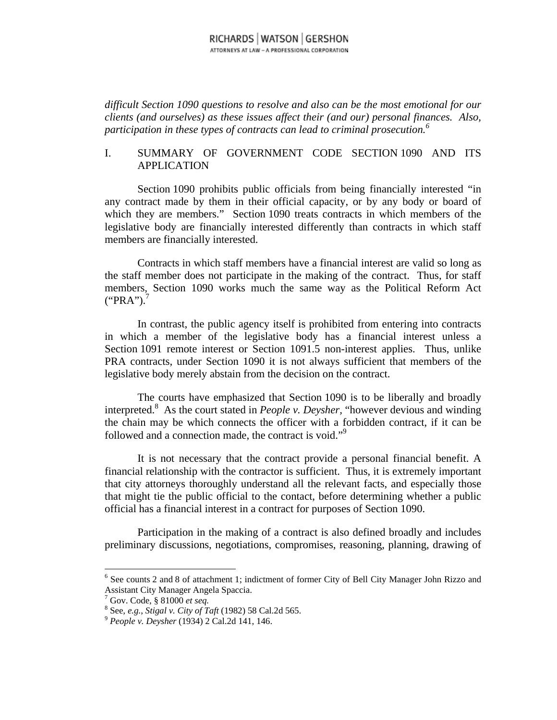#### RICHARDS WATSON GERSHON ATTORNEYS AT LAW - A PROFESSIONAL CORPORATION

*difficult Section 1090 questions to resolve and also can be the most emotional for our clients (and ourselves) as these issues affect their (and our) personal finances. Also, participation in these types of contracts can lead to criminal prosecution.6*

#### I. SUMMARY OF GOVERNMENT CODE SECTION 1090 AND ITS APPLICATION

Section 1090 prohibits public officials from being financially interested "in any contract made by them in their official capacity, or by any body or board of which they are members." Section 1090 treats contracts in which members of the legislative body are financially interested differently than contracts in which staff members are financially interested.

Contracts in which staff members have a financial interest are valid so long as the staff member does not participate in the making of the contract. Thus, for staff members, Section 1090 works much the same way as the Political Reform Act  $("PRA")$ .

In contrast, the public agency itself is prohibited from entering into contracts in which a member of the legislative body has a financial interest unless a Section 1091 remote interest or Section 1091.5 non-interest applies. Thus, unlike PRA contracts, under Section 1090 it is not always sufficient that members of the legislative body merely abstain from the decision on the contract.

The courts have emphasized that Section 1090 is to be liberally and broadly interpreted.8 As the court stated in *People v. Deysher,* "however devious and winding the chain may be which connects the officer with a forbidden contract, if it can be followed and a connection made, the contract is void."<sup>9</sup>

It is not necessary that the contract provide a personal financial benefit. A financial relationship with the contractor is sufficient. Thus, it is extremely important that city attorneys thoroughly understand all the relevant facts, and especially those that might tie the public official to the contact, before determining whether a public official has a financial interest in a contract for purposes of Section 1090.

Participation in the making of a contract is also defined broadly and includes preliminary discussions, negotiations, compromises, reasoning, planning, drawing of

<sup>&</sup>lt;sup>6</sup> See counts 2 and 8 of attachment 1; indictment of former City of Bell City Manager John Rizzo and Assistant City Manager Angela Spaccia. 7

 $\frac{1}{6}$  Gov. Code, § 81000 *et seq.*<br><sup>8</sup> See, a.g., Stiggly, Giv. of T

See, *e.g.*, *Stigal v. City of Taft* (1982) 58 Cal.2d 565. 9 *People v. Deysher* (1934) 2 Cal.2d 141, 146.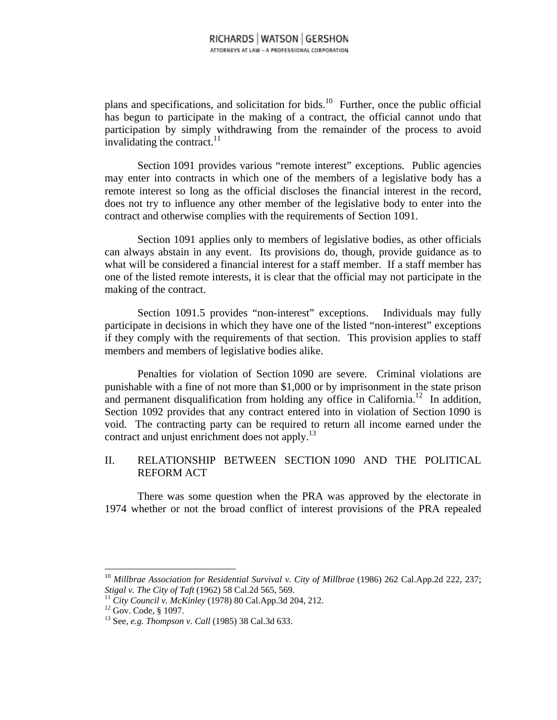plans and specifications, and solicitation for bids.<sup>10</sup> Further, once the public official has begun to participate in the making of a contract, the official cannot undo that participation by simply withdrawing from the remainder of the process to avoid invalidating the contract. $11$ 

Section 1091 provides various "remote interest" exceptions. Public agencies may enter into contracts in which one of the members of a legislative body has a remote interest so long as the official discloses the financial interest in the record, does not try to influence any other member of the legislative body to enter into the contract and otherwise complies with the requirements of Section 1091.

Section 1091 applies only to members of legislative bodies, as other officials can always abstain in any event. Its provisions do, though, provide guidance as to what will be considered a financial interest for a staff member. If a staff member has one of the listed remote interests, it is clear that the official may not participate in the making of the contract.

Section 1091.5 provides "non-interest" exceptions. Individuals may fully participate in decisions in which they have one of the listed "non-interest" exceptions if they comply with the requirements of that section. This provision applies to staff members and members of legislative bodies alike.

Penalties for violation of Section 1090 are severe. Criminal violations are punishable with a fine of not more than \$1,000 or by imprisonment in the state prison and permanent disqualification from holding any office in California.12 In addition, Section 1092 provides that any contract entered into in violation of Section 1090 is void. The contracting party can be required to return all income earned under the contract and unjust enrichment does not apply.<sup>13</sup>

## II. RELATIONSHIP BETWEEN SECTION 1090 AND THE POLITICAL REFORM ACT

There was some question when the PRA was approved by the electorate in 1974 whether or not the broad conflict of interest provisions of the PRA repealed

<sup>&</sup>lt;sup>10</sup> Millbrae Association for Residential Survival v. City of Millbrae (1986) 262 Cal.App.2d 222, 237; *Stigal v. The City of Taft* (1962) 58 Cal.2d 565, 569. 11 *City Council v. McKinley* (1978) 80 Cal.App.3d 204, 212. 12 Gov. Code, § 1097.

<sup>13</sup> See, *e.g. Thompson v. Call* (1985) 38 Cal.3d 633.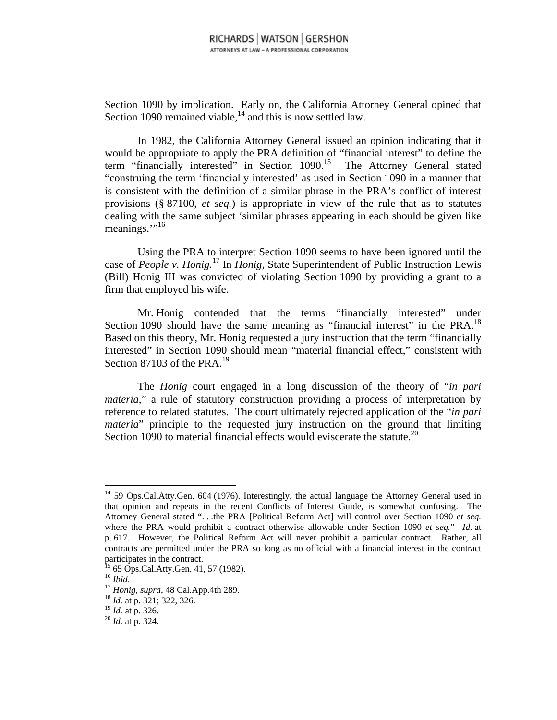Section 1090 by implication. Early on, the California Attorney General opined that Section 1090 remained viable, $14$  and this is now settled law.

In 1982, the California Attorney General issued an opinion indicating that it would be appropriate to apply the PRA definition of "financial interest" to define the term "financially interested" in Section 1090.<sup>15</sup> The Attorney General stated "construing the term 'financially interested' as used in Section 1090 in a manner that is consistent with the definition of a similar phrase in the PRA's conflict of interest provisions (§ 87100, *et seq.*) is appropriate in view of the rule that as to statutes dealing with the same subject 'similar phrases appearing in each should be given like meanings. $\cdot$ <sup>16</sup>

Using the PRA to interpret Section 1090 seems to have been ignored until the case of *People v. Honig.*17 In *Honig,* State Superintendent of Public Instruction Lewis (Bill) Honig III was convicted of violating Section 1090 by providing a grant to a firm that employed his wife.

Mr. Honig contended that the terms "financially interested" under Section 1090 should have the same meaning as "financial interest" in the PRA.<sup>18</sup> Based on this theory, Mr. Honig requested a jury instruction that the term "financially interested" in Section 1090 should mean "material financial effect," consistent with Section 87103 of the PRA.<sup>19</sup>

The *Honig* court engaged in a long discussion of the theory of "*in pari materia*," a rule of statutory construction providing a process of interpretation by reference to related statutes. The court ultimately rejected application of the "*in pari materia*" principle to the requested jury instruction on the ground that limiting Section 1090 to material financial effects would eviscerate the statute.<sup>20</sup>

<sup>&</sup>lt;sup>14</sup> 59 Ops.Cal.Atty.Gen. 604 (1976). Interestingly, the actual language the Attorney General used in that opinion and repeats in the recent Conflicts of Interest Guide, is somewhat confusing. The Attorney General stated ". . .the PRA [Political Reform Act] will control over Section 1090 *et seq.* where the PRA would prohibit a contract otherwise allowable under Section 1090 *et seq.*" *Id.* at p. 617. However, the Political Reform Act will never prohibit a particular contract. Rather, all contracts are permitted under the PRA so long as no official with a financial interest in the contract participates in the contract.

 $^{15}$  65 Ops.Cal.Atty.Gen. 41, 57 (1982).<br> $^{16}$  *Ibid* 

<sup>16</sup> *Ibid*. 17 *Honig*, *supra*, 48 Cal.App.4th 289. 18 *Id.* at p. 321; 322, 326.

<sup>19</sup> *Id.* at p. 326. 20 *Id.* at p. 324.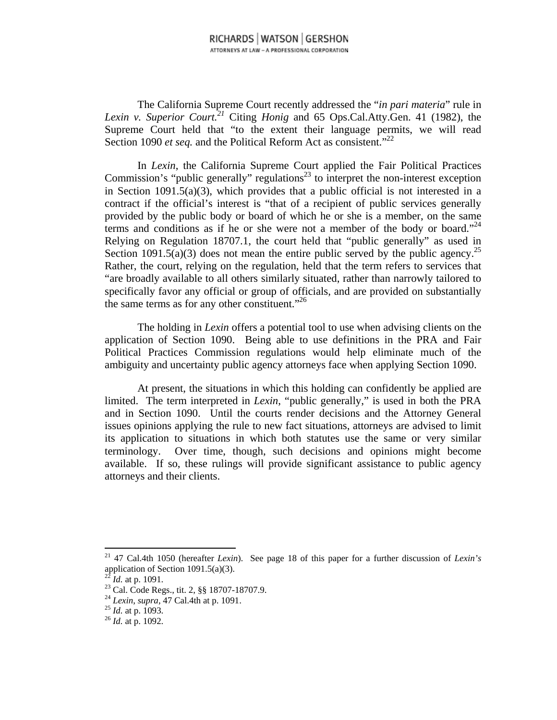The California Supreme Court recently addressed the "*in pari materia*" rule in *Lexin v. Superior Court.*<sup>21</sup> Citing *Honig* and 65 Ops.Cal.Atty.Gen. 41 (1982), the Supreme Court held that "to the extent their language permits, we will read Section 1090 *et seq.* and the Political Reform Act as consistent.<sup>"22</sup>

In *Lexin*, the California Supreme Court applied the Fair Political Practices Commission's "public generally" regulations<sup>23</sup> to interpret the non-interest exception in Section 1091.5(a)(3), which provides that a public official is not interested in a contract if the official's interest is "that of a recipient of public services generally provided by the public body or board of which he or she is a member, on the same terms and conditions as if he or she were not a member of the body or board."<sup>24</sup> Relying on Regulation 18707.1, the court held that "public generally" as used in Section 1091.5(a)(3) does not mean the entire public served by the public agency.<sup>25</sup> Rather, the court, relying on the regulation, held that the term refers to services that "are broadly available to all others similarly situated, rather than narrowly tailored to specifically favor any official or group of officials, and are provided on substantially the same terms as for any other constituent."26

The holding in *Lexin* offers a potential tool to use when advising clients on the application of Section 1090. Being able to use definitions in the PRA and Fair Political Practices Commission regulations would help eliminate much of the ambiguity and uncertainty public agency attorneys face when applying Section 1090.

At present, the situations in which this holding can confidently be applied are limited. The term interpreted in *Lexin*, "public generally," is used in both the PRA and in Section 1090. Until the courts render decisions and the Attorney General issues opinions applying the rule to new fact situations, attorneys are advised to limit its application to situations in which both statutes use the same or very similar terminology. Over time, though, such decisions and opinions might become available. If so, these rulings will provide significant assistance to public agency attorneys and their clients.

<sup>21 47</sup> Cal.4th 1050 (hereafter *Lexin*). See page 18 of this paper for a further discussion of *Lexin's* application of Section 1091.5(a)(3).

<sup>&</sup>lt;sup>22</sup> *Id.* at p. 1091.<br><sup>23</sup> Cal. Code Regs., tit. 2, §§ 18707-18707.9.

<sup>24</sup> *Lexin*, *supra*, 47 Cal.4th at p. 1091. 25 *Id.* at p. 1093. 26 *Id.* at p. 1092.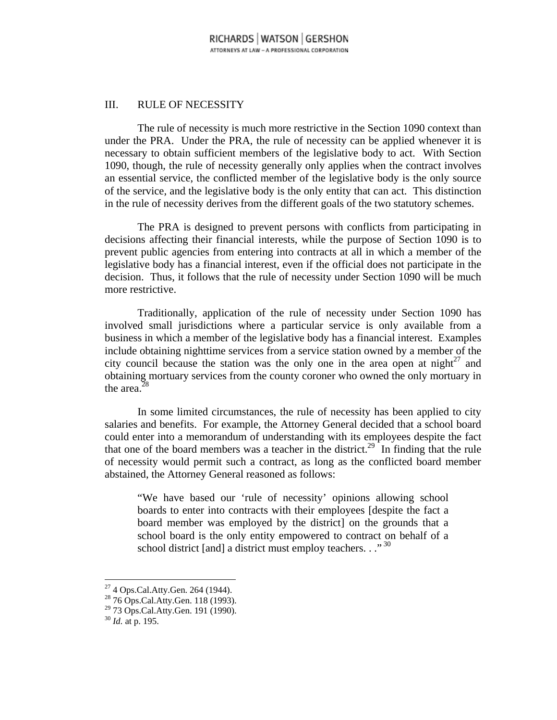## III. RULE OF NECESSITY

The rule of necessity is much more restrictive in the Section 1090 context than under the PRA. Under the PRA, the rule of necessity can be applied whenever it is necessary to obtain sufficient members of the legislative body to act. With Section 1090, though, the rule of necessity generally only applies when the contract involves an essential service, the conflicted member of the legislative body is the only source of the service, and the legislative body is the only entity that can act. This distinction in the rule of necessity derives from the different goals of the two statutory schemes.

The PRA is designed to prevent persons with conflicts from participating in decisions affecting their financial interests, while the purpose of Section 1090 is to prevent public agencies from entering into contracts at all in which a member of the legislative body has a financial interest, even if the official does not participate in the decision. Thus, it follows that the rule of necessity under Section 1090 will be much more restrictive.

Traditionally, application of the rule of necessity under Section 1090 has involved small jurisdictions where a particular service is only available from a business in which a member of the legislative body has a financial interest. Examples include obtaining nighttime services from a service station owned by a member of the city council because the station was the only one in the area open at night<sup>27</sup> and obtaining mortuary services from the county coroner who owned the only mortuary in the area. $28$ 

In some limited circumstances, the rule of necessity has been applied to city salaries and benefits. For example, the Attorney General decided that a school board could enter into a memorandum of understanding with its employees despite the fact that one of the board members was a teacher in the district.<sup>29</sup> In finding that the rule of necessity would permit such a contract, as long as the conflicted board member abstained, the Attorney General reasoned as follows:

"We have based our 'rule of necessity' opinions allowing school boards to enter into contracts with their employees [despite the fact a board member was employed by the district] on the grounds that a school board is the only entity empowered to contract on behalf of a school district [and] a district must employ teachers. . ."<sup>30</sup>

<sup>27 4</sup> Ops.Cal.Atty.Gen. 264 (1944).

<sup>28 76</sup> Ops.Cal.Atty.Gen. 118 (1993).

<sup>&</sup>lt;sup>29</sup> 73 Ops.Cal.Atty.Gen. 191 (1990).

<sup>30</sup> *Id.* at p. 195.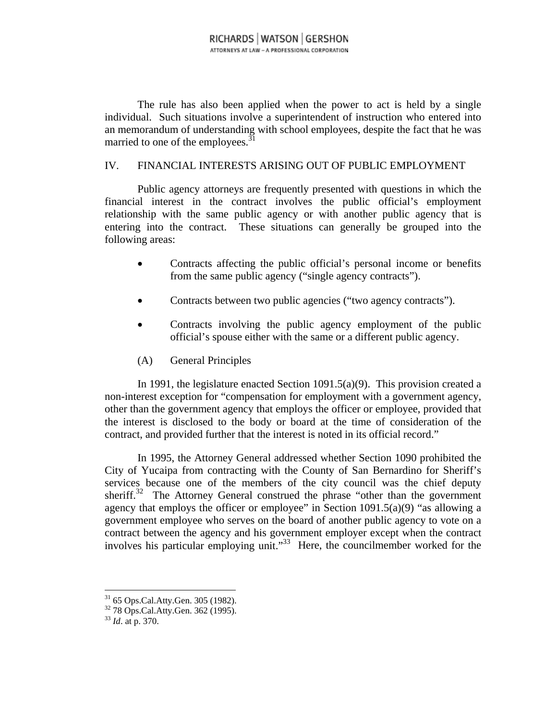The rule has also been applied when the power to act is held by a single individual. Such situations involve a superintendent of instruction who entered into an memorandum of understanding with school employees, despite the fact that he was married to one of the employees. $31$ 

#### IV. FINANCIAL INTERESTS ARISING OUT OF PUBLIC EMPLOYMENT

Public agency attorneys are frequently presented with questions in which the financial interest in the contract involves the public official's employment relationship with the same public agency or with another public agency that is entering into the contract. These situations can generally be grouped into the following areas:

- Contracts affecting the public official's personal income or benefits from the same public agency ("single agency contracts").
- Contracts between two public agencies ("two agency contracts").
- Contracts involving the public agency employment of the public official's spouse either with the same or a different public agency.
- (A) General Principles

In 1991, the legislature enacted Section 1091.5(a)(9). This provision created a non-interest exception for "compensation for employment with a government agency, other than the government agency that employs the officer or employee, provided that the interest is disclosed to the body or board at the time of consideration of the contract, and provided further that the interest is noted in its official record."

In 1995, the Attorney General addressed whether Section 1090 prohibited the City of Yucaipa from contracting with the County of San Bernardino for Sheriff's services because one of the members of the city council was the chief deputy sheriff.<sup>32</sup> The Attorney General construed the phrase "other than the government agency that employs the officer or employee" in Section 1091.5(a)(9) "as allowing a government employee who serves on the board of another public agency to vote on a contract between the agency and his government employer except when the contract involves his particular employing unit."33 Here, the councilmember worked for the

 $31$  65 Ops.Cal.Atty.Gen. 305 (1982).

<sup>32 78</sup> Ops.Cal.Atty.Gen. 362 (1995).

<sup>33</sup> *Id*. at p. 370.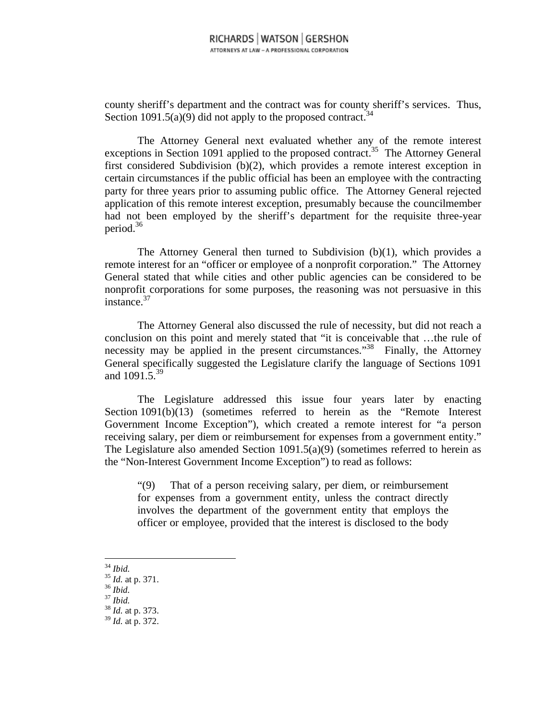county sheriff's department and the contract was for county sheriff's services. Thus, Section 1091.5(a)(9) did not apply to the proposed contract.<sup>34</sup>

The Attorney General next evaluated whether any of the remote interest exceptions in Section 1091 applied to the proposed contract.<sup>35</sup> The Attorney General first considered Subdivision (b)(2), which provides a remote interest exception in certain circumstances if the public official has been an employee with the contracting party for three years prior to assuming public office. The Attorney General rejected application of this remote interest exception, presumably because the councilmember had not been employed by the sheriff's department for the requisite three-year period.36

The Attorney General then turned to Subdivision (b)(1), which provides a remote interest for an "officer or employee of a nonprofit corporation." The Attorney General stated that while cities and other public agencies can be considered to be nonprofit corporations for some purposes, the reasoning was not persuasive in this instance.<sup>37</sup>

The Attorney General also discussed the rule of necessity, but did not reach a conclusion on this point and merely stated that "it is conceivable that …the rule of necessity may be applied in the present circumstances.<sup>33</sup> Finally, the Attorney General specifically suggested the Legislature clarify the language of Sections 1091 and 1091.5.<sup>39</sup>

The Legislature addressed this issue four years later by enacting Section 1091(b)(13) (sometimes referred to herein as the "Remote Interest Government Income Exception"), which created a remote interest for "a person receiving salary, per diem or reimbursement for expenses from a government entity." The Legislature also amended Section 1091.5(a)(9) (sometimes referred to herein as the "Non-Interest Government Income Exception") to read as follows:

"(9) That of a person receiving salary, per diem, or reimbursement for expenses from a government entity, unless the contract directly involves the department of the government entity that employs the officer or employee, provided that the interest is disclosed to the body

 $34$  Ibid.

- 
- 
- 

<sup>34</sup> *Ibid.* <sup>35</sup> *Id.* at p. 371. 36 *Ibid.* <sup>37</sup> *Ibid.* <sup>38</sup> *Id.* at p. 373.

<sup>39</sup> *Id.* at p. 372.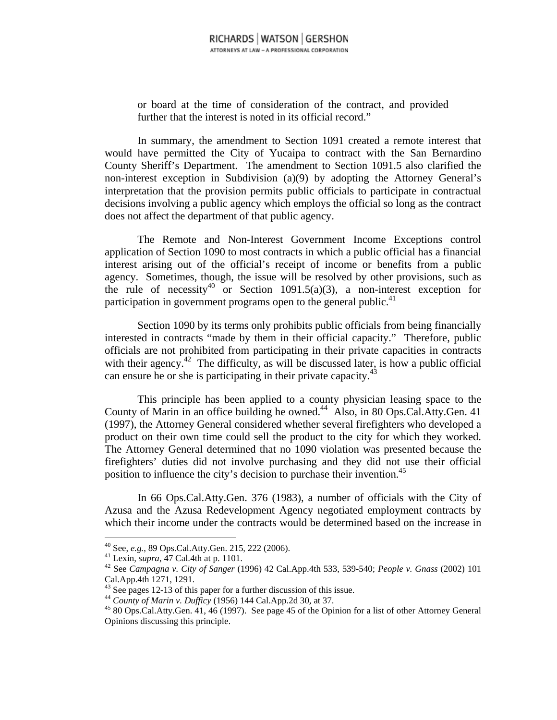or board at the time of consideration of the contract, and provided further that the interest is noted in its official record."

In summary, the amendment to Section 1091 created a remote interest that would have permitted the City of Yucaipa to contract with the San Bernardino County Sheriff's Department. The amendment to Section 1091.5 also clarified the non-interest exception in Subdivision (a)(9) by adopting the Attorney General's interpretation that the provision permits public officials to participate in contractual decisions involving a public agency which employs the official so long as the contract does not affect the department of that public agency.

The Remote and Non-Interest Government Income Exceptions control application of Section 1090 to most contracts in which a public official has a financial interest arising out of the official's receipt of income or benefits from a public agency. Sometimes, though, the issue will be resolved by other provisions, such as the rule of necessity<sup>40</sup> or Section 1091.5(a)(3), a non-interest exception for participation in government programs open to the general public.<sup>41</sup>

Section 1090 by its terms only prohibits public officials from being financially interested in contracts "made by them in their official capacity." Therefore, public officials are not prohibited from participating in their private capacities in contracts with their agency.<sup>42</sup> The difficulty, as will be discussed later, is how a public official can ensure he or she is participating in their private capacity.43

This principle has been applied to a county physician leasing space to the County of Marin in an office building he owned.<sup>44</sup> Also, in 80 Ops.Cal.Atty.Gen. 41 (1997), the Attorney General considered whether several firefighters who developed a product on their own time could sell the product to the city for which they worked. The Attorney General determined that no 1090 violation was presented because the firefighters' duties did not involve purchasing and they did not use their official position to influence the city's decision to purchase their invention.<sup>45</sup>

In 66 Ops.Cal.Atty.Gen. 376 (1983), a number of officials with the City of Azusa and the Azusa Redevelopment Agency negotiated employment contracts by which their income under the contracts would be determined based on the increase in

<sup>&</sup>lt;sup>40</sup> See, *e.g.*, 89 Ops.Cal.Atty.Gen. 215, 222 (2006).

<sup>&</sup>lt;sup>41</sup> Lexin, *supra*, 47 Cal.4th at p. 1101.<br><sup>42</sup> See *Campagna v. City of Sanger* (1996) 42 Cal.App.4th 533, 539-540; *People v. Gnass* (2002) 101 Cal.App.4th 1271, 1291.

<sup>&</sup>lt;sup>43</sup> See pages 12-13 of this paper for a further discussion of this issue.<br><sup>44</sup> County of Marin v. Dufficy (1956) 144 Cal.App.2d 30, at 37.

<sup>&</sup>lt;sup>45</sup> 80 Ops.Cal.Atty.Gen. 41, 46 (1997). See page 45 of the Opinion for a list of other Attorney General Opinions discussing this principle.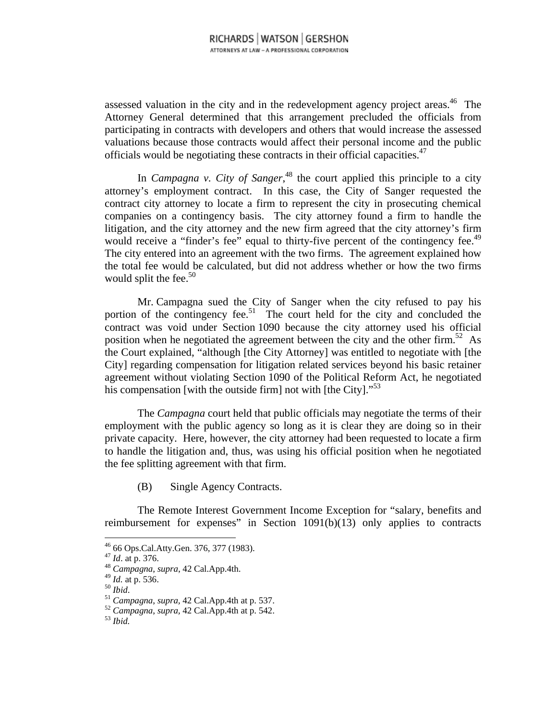assessed valuation in the city and in the redevelopment agency project areas.<sup>46</sup> The Attorney General determined that this arrangement precluded the officials from participating in contracts with developers and others that would increase the assessed valuations because those contracts would affect their personal income and the public officials would be negotiating these contracts in their official capacities.<sup> $47$ </sup>

In *Campagna v. City of Sanger*,<sup>48</sup> the court applied this principle to a city attorney's employment contract. In this case, the City of Sanger requested the contract city attorney to locate a firm to represent the city in prosecuting chemical companies on a contingency basis. The city attorney found a firm to handle the litigation, and the city attorney and the new firm agreed that the city attorney's firm would receive a "finder's fee" equal to thirty-five percent of the contingency fee.<sup>49</sup> The city entered into an agreement with the two firms. The agreement explained how the total fee would be calculated, but did not address whether or how the two firms would split the fee. $50$ 

Mr. Campagna sued the City of Sanger when the city refused to pay his portion of the contingency fee.<sup>51</sup> The court held for the city and concluded the contract was void under Section 1090 because the city attorney used his official position when he negotiated the agreement between the city and the other firm.<sup>52</sup> As the Court explained, "although [the City Attorney] was entitled to negotiate with [the City] regarding compensation for litigation related services beyond his basic retainer agreement without violating Section 1090 of the Political Reform Act, he negotiated his compensation [with the outside firm] not with [the City]. $^{53}$ ]

The *Campagna* court held that public officials may negotiate the terms of their employment with the public agency so long as it is clear they are doing so in their private capacity. Here, however, the city attorney had been requested to locate a firm to handle the litigation and, thus, was using his official position when he negotiated the fee splitting agreement with that firm.

(B) Single Agency Contracts.

The Remote Interest Government Income Exception for "salary, benefits and reimbursement for expenses" in Section 1091(b)(13) only applies to contracts

<sup>&</sup>lt;sup>46</sup> 66 Ops.Cal.Atty.Gen. 376, 377 (1983).

<sup>47</sup> *Id*. at p. 376. 48 *Campagna*, *supra*, 42 Cal.App.4th.

<sup>49</sup> *Id.* at p. 536. 50 *Ibid*. 51 *Campagna*, *supra,* 42 Cal.App.4th at p. 537. 52 *Campagna*, *supra,* 42 Cal.App.4th at p. 542. 53 *Ibid.*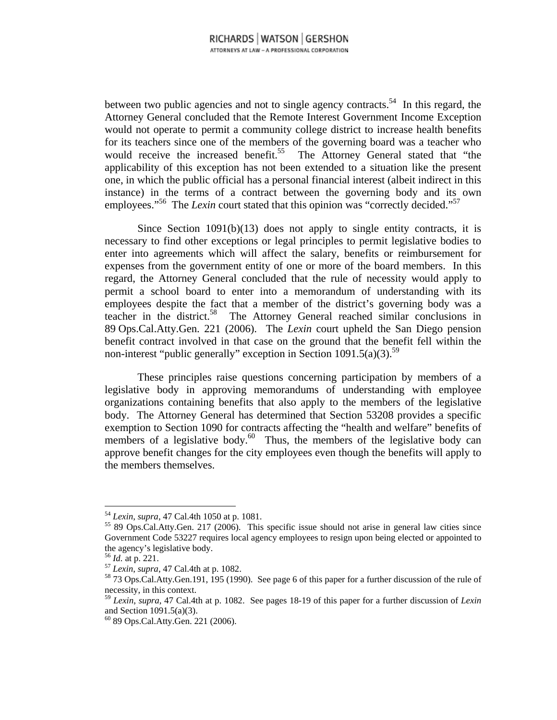between two public agencies and not to single agency contracts.<sup>54</sup> In this regard, the Attorney General concluded that the Remote Interest Government Income Exception would not operate to permit a community college district to increase health benefits for its teachers since one of the members of the governing board was a teacher who would receive the increased benefit.<sup>55</sup> The Attorney General stated that "the applicability of this exception has not been extended to a situation like the present one, in which the public official has a personal financial interest (albeit indirect in this instance) in the terms of a contract between the governing body and its own employees."<sup>56</sup> The *Lexin* court stated that this opinion was "correctly decided."<sup>57</sup>

Since Section  $1091(b)(13)$  does not apply to single entity contracts, it is necessary to find other exceptions or legal principles to permit legislative bodies to enter into agreements which will affect the salary, benefits or reimbursement for expenses from the government entity of one or more of the board members. In this regard, the Attorney General concluded that the rule of necessity would apply to permit a school board to enter into a memorandum of understanding with its employees despite the fact that a member of the district's governing body was a teacher in the district.58 The Attorney General reached similar conclusions in 89 Ops.Cal.Atty.Gen. 221 (2006). The *Lexin* court upheld the San Diego pension benefit contract involved in that case on the ground that the benefit fell within the non-interest "public generally" exception in Section 1091.5(a)(3).<sup>59</sup>

These principles raise questions concerning participation by members of a legislative body in approving memorandums of understanding with employee organizations containing benefits that also apply to the members of the legislative body. The Attorney General has determined that Section 53208 provides a specific exemption to Section 1090 for contracts affecting the "health and welfare" benefits of members of a legislative body. $60^{\circ}$  Thus, the members of the legislative body can approve benefit changes for the city employees even though the benefits will apply to the members themselves.

 $54$  Lexin, supra, 47 Cal.4th 1050 at p. 1081.

<sup>&</sup>lt;sup>55</sup> 89 Ops.Cal.Atty.Gen. 217 (2006). This specific issue should not arise in general law cities since Government Code 53227 requires local agency employees to resign upon being elected or appointed to the agency's legislative body.

<sup>&</sup>lt;sup>56</sup> *Id.* at p. 221.<br><sup>57</sup> *Lexin*, *supra*, 47 Cal.4th at p. 1082.<br><sup>58</sup> 73 Ops.Cal.Atty.Gen.191, 195 (1990). See page 6 of this paper for a further discussion of the rule of necessity, in this context.

<sup>59</sup> *Lexin*, *supra*, 47 Cal.4th at p. 1082. See pages 18-19 of this paper for a further discussion of *Lexin*  and Section 1091.5(a)(3).

 $60$  89 Ops.Cal.Atty.Gen. 221 (2006).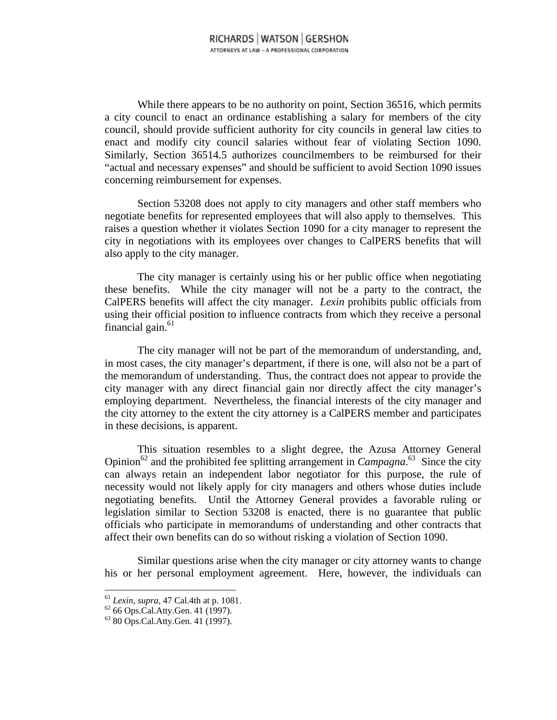While there appears to be no authority on point, Section 36516, which permits a city council to enact an ordinance establishing a salary for members of the city council, should provide sufficient authority for city councils in general law cities to enact and modify city council salaries without fear of violating Section 1090. Similarly, Section 36514.5 authorizes councilmembers to be reimbursed for their "actual and necessary expenses" and should be sufficient to avoid Section 1090 issues concerning reimbursement for expenses.

Section 53208 does not apply to city managers and other staff members who negotiate benefits for represented employees that will also apply to themselves. This raises a question whether it violates Section 1090 for a city manager to represent the city in negotiations with its employees over changes to CalPERS benefits that will also apply to the city manager.

The city manager is certainly using his or her public office when negotiating these benefits. While the city manager will not be a party to the contract, the CalPERS benefits will affect the city manager. *Lexin* prohibits public officials from using their official position to influence contracts from which they receive a personal financial gain. $61$ 

The city manager will not be part of the memorandum of understanding, and, in most cases, the city manager's department, if there is one, will also not be a part of the memorandum of understanding. Thus, the contract does not appear to provide the city manager with any direct financial gain nor directly affect the city manager's employing department. Nevertheless, the financial interests of the city manager and the city attorney to the extent the city attorney is a CalPERS member and participates in these decisions, is apparent.

This situation resembles to a slight degree, the Azusa Attorney General Opinion<sup>62</sup> and the prohibited fee splitting arrangement in *Campagna*.<sup>63</sup> Since the city can always retain an independent labor negotiator for this purpose, the rule of necessity would not likely apply for city managers and others whose duties include negotiating benefits. Until the Attorney General provides a favorable ruling or legislation similar to Section 53208 is enacted, there is no guarantee that public officials who participate in memorandums of understanding and other contracts that affect their own benefits can do so without risking a violation of Section 1090.

Similar questions arise when the city manager or city attorney wants to change his or her personal employment agreement. Here, however, the individuals can

 $^{61}$  Lexin, supra, 47 Cal.4th at p. 1081.

<sup>&</sup>lt;sup>62</sup> 66 Ops.Cal.Atty.Gen. 41 (1997).

<sup>63 80</sup> Ops.Cal.Atty.Gen. 41 (1997).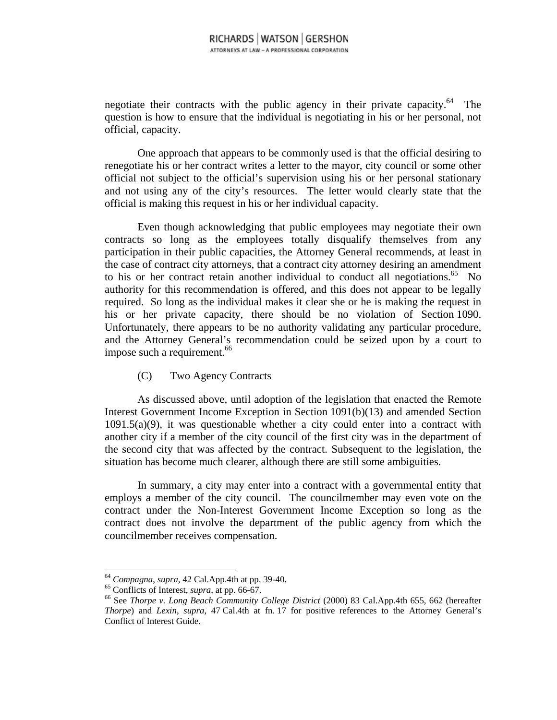negotiate their contracts with the public agency in their private capacity.<sup>64</sup> The question is how to ensure that the individual is negotiating in his or her personal, not official, capacity.

One approach that appears to be commonly used is that the official desiring to renegotiate his or her contract writes a letter to the mayor, city council or some other official not subject to the official's supervision using his or her personal stationary and not using any of the city's resources. The letter would clearly state that the official is making this request in his or her individual capacity.

Even though acknowledging that public employees may negotiate their own contracts so long as the employees totally disqualify themselves from any participation in their public capacities, the Attorney General recommends, at least in the case of contract city attorneys, that a contract city attorney desiring an amendment to his or her contract retain another individual to conduct all negotiations. $65$  No authority for this recommendation is offered, and this does not appear to be legally required. So long as the individual makes it clear she or he is making the request in his or her private capacity, there should be no violation of Section 1090. Unfortunately, there appears to be no authority validating any particular procedure, and the Attorney General's recommendation could be seized upon by a court to impose such a requirement.<sup>66</sup>

(C) Two Agency Contracts

As discussed above, until adoption of the legislation that enacted the Remote Interest Government Income Exception in Section 1091(b)(13) and amended Section  $1091.5(a)(9)$ , it was questionable whether a city could enter into a contract with another city if a member of the city council of the first city was in the department of the second city that was affected by the contract. Subsequent to the legislation, the situation has become much clearer, although there are still some ambiguities.

In summary, a city may enter into a contract with a governmental entity that employs a member of the city council. The councilmember may even vote on the contract under the Non-Interest Government Income Exception so long as the contract does not involve the department of the public agency from which the councilmember receives compensation.

<sup>&</sup>lt;sup>64</sup> *Compagna*, *supra*, 42 Cal.App.4th at pp. 39-40.<br><sup>65</sup> Conflicts of Interest, *supra*, at pp. 66-67.<br><sup>66</sup> See *Thorpe v. Long Beach Community College District* (2000) 83 Cal.App.4th 655, 662 (hereafter *Thorpe*) and *Lexin*, *supra*, 47 Cal.4th at fn. 17 for positive references to the Attorney General's Conflict of Interest Guide.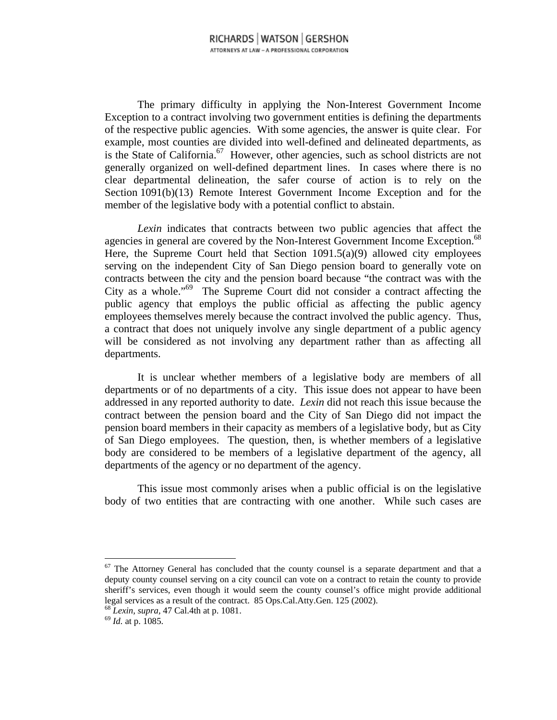The primary difficulty in applying the Non-Interest Government Income Exception to a contract involving two government entities is defining the departments of the respective public agencies. With some agencies, the answer is quite clear. For example, most counties are divided into well-defined and delineated departments, as is the State of California.<sup>67</sup> However, other agencies, such as school districts are not generally organized on well-defined department lines. In cases where there is no clear departmental delineation, the safer course of action is to rely on the Section 1091(b)(13) Remote Interest Government Income Exception and for the member of the legislative body with a potential conflict to abstain.

*Lexin* indicates that contracts between two public agencies that affect the agencies in general are covered by the Non-Interest Government Income Exception.<sup>68</sup> Here, the Supreme Court held that Section 1091.5(a)(9) allowed city employees serving on the independent City of San Diego pension board to generally vote on contracts between the city and the pension board because "the contract was with the City as a whole."69 The Supreme Court did not consider a contract affecting the public agency that employs the public official as affecting the public agency employees themselves merely because the contract involved the public agency. Thus, a contract that does not uniquely involve any single department of a public agency will be considered as not involving any department rather than as affecting all departments.

It is unclear whether members of a legislative body are members of all departments or of no departments of a city. This issue does not appear to have been addressed in any reported authority to date. *Lexin* did not reach this issue because the contract between the pension board and the City of San Diego did not impact the pension board members in their capacity as members of a legislative body, but as City of San Diego employees. The question, then, is whether members of a legislative body are considered to be members of a legislative department of the agency, all departments of the agency or no department of the agency.

This issue most commonly arises when a public official is on the legislative body of two entities that are contracting with one another. While such cases are

 $67$  The Attorney General has concluded that the county counsel is a separate department and that a deputy county counsel serving on a city council can vote on a contract to retain the county to provide sheriff's services, even though it would seem the county counsel's office might provide additional legal services as a result of the contract. 85 Ops.Cal.Atty.Gen. 125 (2002). 68 *Lexin, supra,* 47 Cal.4th at p. 1081. 69 *Id.* at p. 1085.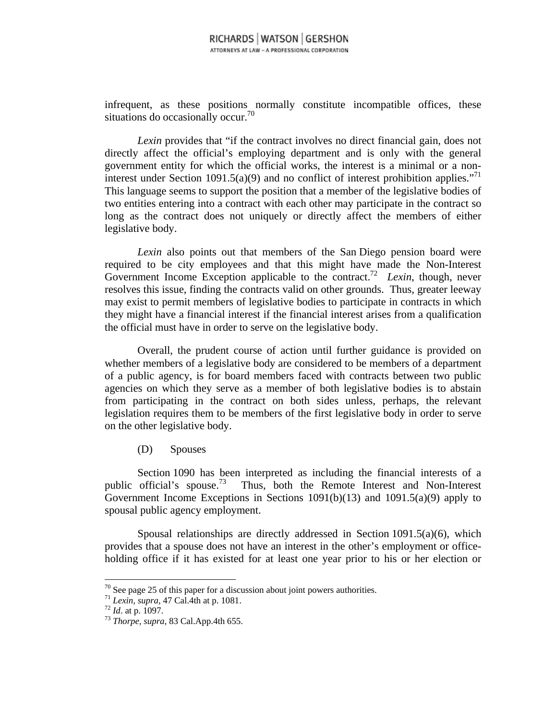infrequent, as these positions normally constitute incompatible offices, these situations do occasionally occur.<sup>70</sup>

*Lexin* provides that "if the contract involves no direct financial gain, does not directly affect the official's employing department and is only with the general government entity for which the official works, the interest is a minimal or a noninterest under Section 1091.5(a)(9) and no conflict of interest prohibition applies."<sup>71</sup> This language seems to support the position that a member of the legislative bodies of two entities entering into a contract with each other may participate in the contract so long as the contract does not uniquely or directly affect the members of either legislative body.

*Lexin* also points out that members of the San Diego pension board were required to be city employees and that this might have made the Non-Interest Government Income Exception applicable to the contract.<sup>72</sup> *Lexin*, though, never resolves this issue, finding the contracts valid on other grounds. Thus, greater leeway may exist to permit members of legislative bodies to participate in contracts in which they might have a financial interest if the financial interest arises from a qualification the official must have in order to serve on the legislative body.

Overall, the prudent course of action until further guidance is provided on whether members of a legislative body are considered to be members of a department of a public agency, is for board members faced with contracts between two public agencies on which they serve as a member of both legislative bodies is to abstain from participating in the contract on both sides unless, perhaps, the relevant legislation requires them to be members of the first legislative body in order to serve on the other legislative body.

(D) Spouses

Section 1090 has been interpreted as including the financial interests of a public official's spouse.73 Thus, both the Remote Interest and Non-Interest Government Income Exceptions in Sections 1091(b)(13) and 1091.5(a)(9) apply to spousal public agency employment.

Spousal relationships are directly addressed in Section  $1091.5(a)(6)$ , which provides that a spouse does not have an interest in the other's employment or officeholding office if it has existed for at least one year prior to his or her election or

 $70$  See page 25 of this paper for a discussion about joint powers authorities.

<sup>71</sup> *Lexin, supra,* 47 Cal.4th at p. 1081. 72 *Id*. at p. 1097. 73 *Thorpe, supra*, 83 Cal.App.4th 655.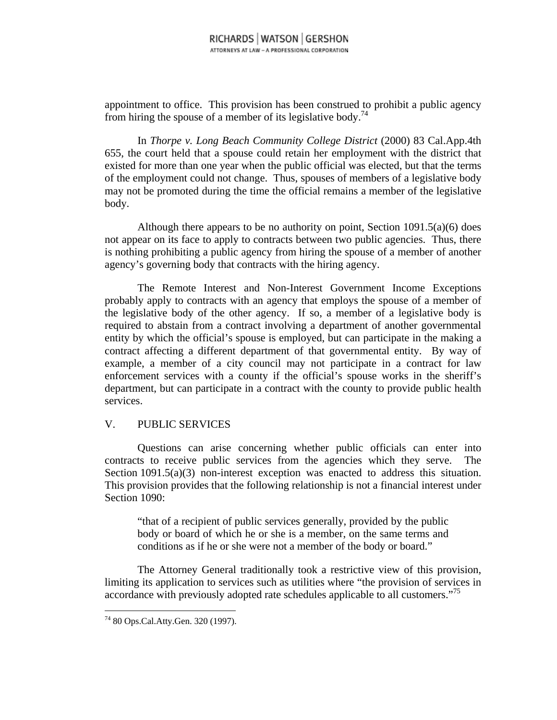appointment to office. This provision has been construed to prohibit a public agency from hiring the spouse of a member of its legislative body.<sup>74</sup>

In *Thorpe v. Long Beach Community College District* (2000) 83 Cal.App.4th 655, the court held that a spouse could retain her employment with the district that existed for more than one year when the public official was elected, but that the terms of the employment could not change. Thus, spouses of members of a legislative body may not be promoted during the time the official remains a member of the legislative body.

Although there appears to be no authority on point, Section  $1091.5(a)(6)$  does not appear on its face to apply to contracts between two public agencies. Thus, there is nothing prohibiting a public agency from hiring the spouse of a member of another agency's governing body that contracts with the hiring agency.

The Remote Interest and Non-Interest Government Income Exceptions probably apply to contracts with an agency that employs the spouse of a member of the legislative body of the other agency. If so, a member of a legislative body is required to abstain from a contract involving a department of another governmental entity by which the official's spouse is employed, but can participate in the making a contract affecting a different department of that governmental entity. By way of example, a member of a city council may not participate in a contract for law enforcement services with a county if the official's spouse works in the sheriff's department, but can participate in a contract with the county to provide public health services.

#### V. PUBLIC SERVICES

Questions can arise concerning whether public officials can enter into contracts to receive public services from the agencies which they serve. The Section 1091.5(a)(3) non-interest exception was enacted to address this situation. This provision provides that the following relationship is not a financial interest under Section 1090:

"that of a recipient of public services generally, provided by the public body or board of which he or she is a member, on the same terms and conditions as if he or she were not a member of the body or board."

The Attorney General traditionally took a restrictive view of this provision, limiting its application to services such as utilities where "the provision of services in accordance with previously adopted rate schedules applicable to all customers."<sup>75</sup>

<sup>74 80</sup> Ops.Cal.Atty.Gen. 320 (1997).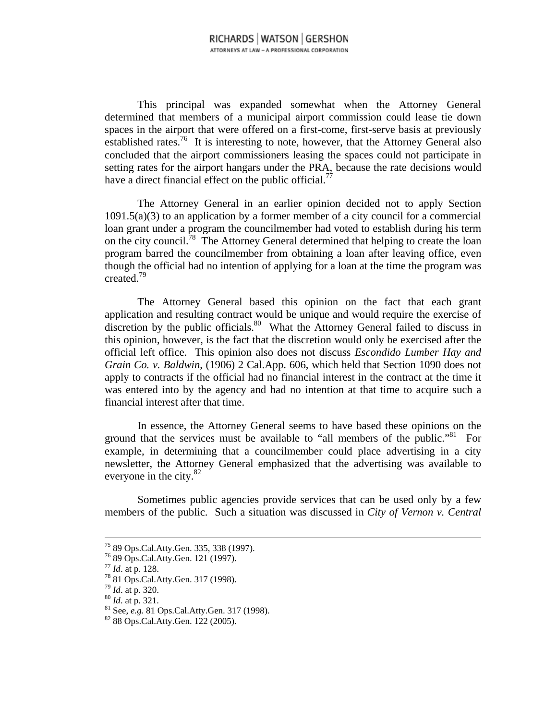This principal was expanded somewhat when the Attorney General determined that members of a municipal airport commission could lease tie down spaces in the airport that were offered on a first-come, first-serve basis at previously established rates.<sup>76</sup> It is interesting to note, however, that the Attorney General also concluded that the airport commissioners leasing the spaces could not participate in setting rates for the airport hangars under the PRA, because the rate decisions would have a direct financial effect on the public official.<sup>77</sup>

The Attorney General in an earlier opinion decided not to apply Section  $1091.5(a)(3)$  to an application by a former member of a city council for a commercial loan grant under a program the councilmember had voted to establish during his term on the city council.<sup>78</sup> The Attorney General determined that helping to create the loan program barred the councilmember from obtaining a loan after leaving office, even though the official had no intention of applying for a loan at the time the program was created.79

The Attorney General based this opinion on the fact that each grant application and resulting contract would be unique and would require the exercise of discretion by the public officials.<sup>80</sup> What the Attorney General failed to discuss in this opinion, however, is the fact that the discretion would only be exercised after the official left office. This opinion also does not discuss *Escondido Lumber Hay and Grain Co. v. Baldwin*, (1906) 2 Cal.App. 606, which held that Section 1090 does not apply to contracts if the official had no financial interest in the contract at the time it was entered into by the agency and had no intention at that time to acquire such a financial interest after that time.

In essence, the Attorney General seems to have based these opinions on the ground that the services must be available to "all members of the public."<sup>81</sup> For example, in determining that a councilmember could place advertising in a city newsletter, the Attorney General emphasized that the advertising was available to everyone in the city.<sup>82</sup>

Sometimes public agencies provide services that can be used only by a few members of the public. Such a situation was discussed in *City of Vernon v. Central* 

<sup>75 89</sup> Ops.Cal.Atty.Gen. 335, 338 (1997).

 $^{76}$  89 Ops.Cal.Atty.Gen. 121 (1997).<br> $^{77}$  *Id.* at p. 128.

<sup>77</sup> *Id*. at p. 128. 78 81 Ops.Cal.Atty.Gen. 317 (1998).

<sup>&</sup>lt;sup>79</sup> *Id.* at p. 320.<br><sup>80</sup> *Id.* at p. 321.<br><sup>81</sup> See, *e.g.* 81 Ops.Cal.Atty.Gen. 317 (1998).<br><sup>82</sup> 88 Ops.Cal.Atty.Gen. 122 (2005).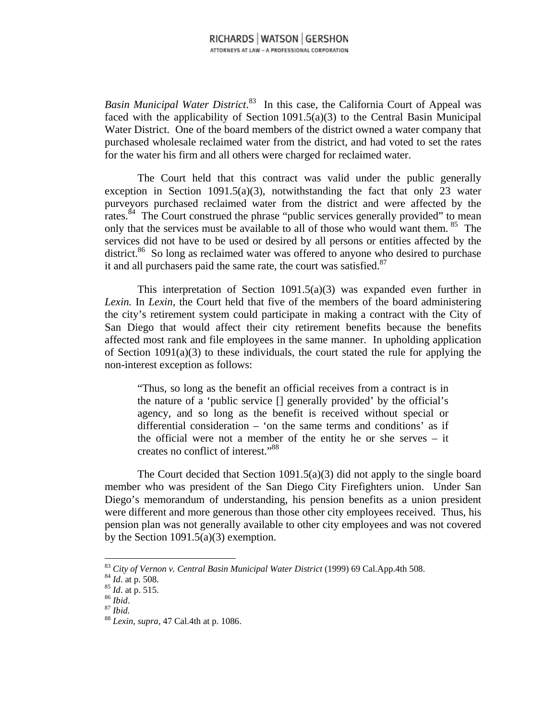*Basin Municipal Water District*. 83 In this case, the California Court of Appeal was faced with the applicability of Section 1091.5(a)(3) to the Central Basin Municipal Water District. One of the board members of the district owned a water company that purchased wholesale reclaimed water from the district, and had voted to set the rates for the water his firm and all others were charged for reclaimed water.

The Court held that this contract was valid under the public generally exception in Section 1091.5(a)(3), notwithstanding the fact that only 23 water purveyors purchased reclaimed water from the district and were affected by the rates.<sup>84</sup> The Court construed the phrase "public services generally provided" to mean only that the services must be available to all of those who would want them. 85 The services did not have to be used or desired by all persons or entities affected by the district.<sup>86</sup> So long as reclaimed water was offered to anyone who desired to purchase it and all purchasers paid the same rate, the court was satisfied.<sup>87</sup>

This interpretation of Section  $1091.5(a)(3)$  was expanded even further in *Lexin.* In *Lexin*, the Court held that five of the members of the board administering the city's retirement system could participate in making a contract with the City of San Diego that would affect their city retirement benefits because the benefits affected most rank and file employees in the same manner. In upholding application of Section  $1091(a)(3)$  to these individuals, the court stated the rule for applying the non-interest exception as follows:

"Thus, so long as the benefit an official receives from a contract is in the nature of a 'public service [] generally provided' by the official's agency, and so long as the benefit is received without special or differential consideration – 'on the same terms and conditions' as if the official were not a member of the entity he or she serves – it creates no conflict of interest."88

The Court decided that Section 1091.5(a)(3) did not apply to the single board member who was president of the San Diego City Firefighters union. Under San Diego's memorandum of understanding, his pension benefits as a union president were different and more generous than those other city employees received. Thus, his pension plan was not generally available to other city employees and was not covered by the Section  $1091.5(a)(3)$  exemption.

<sup>&</sup>lt;sup>83</sup> City of Vernon v. Central Basin Municipal Water District (1999) 69 Cal.App.4th 508.<br><sup>84</sup> Id. at p. 508.<br><sup>85</sup> Id. at p. 515.<br><sup>85</sup> Ibid.<br><sup>87</sup> Ibid.<br><sup>87</sup> Ibid.<br><sup>87</sup> Ibid.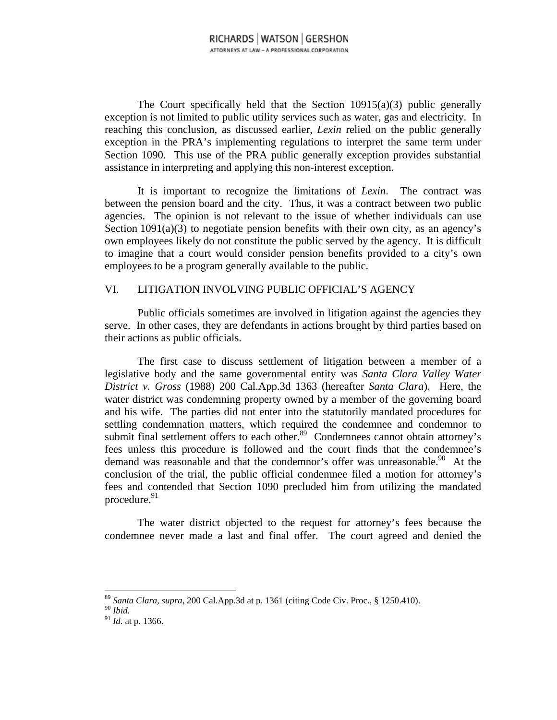The Court specifically held that the Section  $10915(a)(3)$  public generally exception is not limited to public utility services such as water, gas and electricity. In reaching this conclusion, as discussed earlier, *Lexin* relied on the public generally exception in the PRA's implementing regulations to interpret the same term under Section 1090. This use of the PRA public generally exception provides substantial assistance in interpreting and applying this non-interest exception.

It is important to recognize the limitations of *Lexin*. The contract was between the pension board and the city. Thus, it was a contract between two public agencies. The opinion is not relevant to the issue of whether individuals can use Section  $1091(a)(3)$  to negotiate pension benefits with their own city, as an agency's own employees likely do not constitute the public served by the agency. It is difficult to imagine that a court would consider pension benefits provided to a city's own employees to be a program generally available to the public.

## VI. LITIGATION INVOLVING PUBLIC OFFICIAL'S AGENCY

Public officials sometimes are involved in litigation against the agencies they serve. In other cases, they are defendants in actions brought by third parties based on their actions as public officials.

The first case to discuss settlement of litigation between a member of a legislative body and the same governmental entity was *Santa Clara Valley Water District v. Gross* (1988) 200 Cal.App.3d 1363 (hereafter *Santa Clara*). Here, the water district was condemning property owned by a member of the governing board and his wife. The parties did not enter into the statutorily mandated procedures for settling condemnation matters, which required the condemnee and condemnor to submit final settlement offers to each other.<sup>89</sup> Condemnees cannot obtain attorney's fees unless this procedure is followed and the court finds that the condemnee's demand was reasonable and that the condemnor's offer was unreasonable.<sup>90</sup> At the conclusion of the trial, the public official condemnee filed a motion for attorney's fees and contended that Section 1090 precluded him from utilizing the mandated procedure. $91$ 

The water district objected to the request for attorney's fees because the condemnee never made a last and final offer. The court agreed and denied the

 $\overline{a}$ <sup>89</sup> *Santa Clara*, *supra*, 200 Cal.App.3d at p. 1361 (citing Code Civ. Proc., § 1250.410).

<sup>90</sup> *Ibid.*

<sup>91</sup> *Id.* at p. 1366.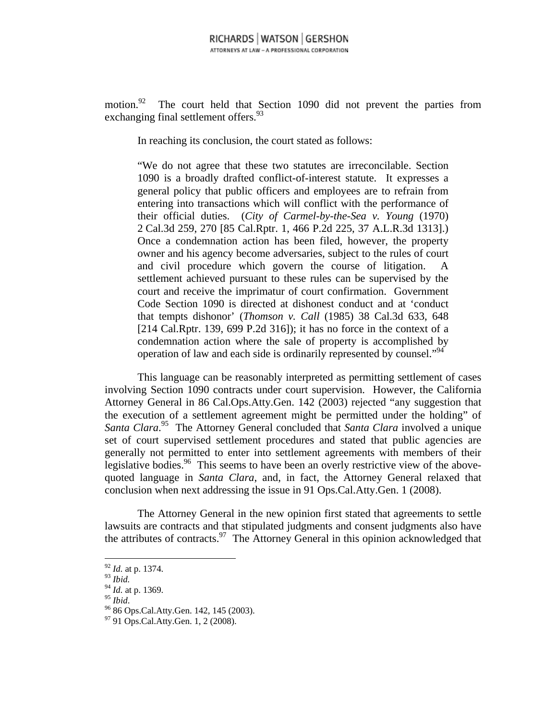motion.<sup>92</sup> The court held that Section 1090 did not prevent the parties from exchanging final settlement offers.<sup>93</sup>

In reaching its conclusion, the court stated as follows:

"We do not agree that these two statutes are irreconcilable. Section 1090 is a broadly drafted conflict-of-interest statute. It expresses a general policy that public officers and employees are to refrain from entering into transactions which will conflict with the performance of their official duties. (*City of Carmel-by-the-Sea v. Young* (1970) 2 Cal.3d 259, 270 [85 Cal.Rptr. 1, 466 P.2d 225, 37 A.L.R.3d 1313].) Once a condemnation action has been filed, however, the property owner and his agency become adversaries, subject to the rules of court and civil procedure which govern the course of litigation. settlement achieved pursuant to these rules can be supervised by the court and receive the imprimatur of court confirmation. Government Code Section 1090 is directed at dishonest conduct and at 'conduct that tempts dishonor' (*Thomson v. Call* (1985) 38 Cal.3d 633, 648 [214 Cal.Rptr. 139, 699 P.2d 316]); it has no force in the context of a condemnation action where the sale of property is accomplished by operation of law and each side is ordinarily represented by counsel."<sup>94</sup>

This language can be reasonably interpreted as permitting settlement of cases involving Section 1090 contracts under court supervision. However, the California Attorney General in 86 Cal.Ops.Atty.Gen. 142 (2003) rejected "any suggestion that the execution of a settlement agreement might be permitted under the holding" of *Santa Clara*. 95 The Attorney General concluded that *Santa Clara* involved a unique set of court supervised settlement procedures and stated that public agencies are generally not permitted to enter into settlement agreements with members of their legislative bodies.<sup>96</sup> This seems to have been an overly restrictive view of the abovequoted language in *Santa Clara*, and, in fact, the Attorney General relaxed that conclusion when next addressing the issue in 91 Ops.Cal.Atty.Gen. 1 (2008).

The Attorney General in the new opinion first stated that agreements to settle lawsuits are contracts and that stipulated judgments and consent judgments also have the attributes of contracts. $97$  The Attorney General in this opinion acknowledged that

<sup>92</sup> *Id.* at p. 1374.

<sup>93</sup> *Ibid.*

<sup>&</sup>lt;sup>94</sup> *Id.* at p. 1369.<br><sup>95</sup> *Ibid.* 

<sup>&</sup>lt;sup>96</sup> 86 Ops.Cal.Atty.Gen. 142, 145 (2003).

<sup>97 91</sup> Ops.Cal.Atty.Gen. 1, 2 (2008).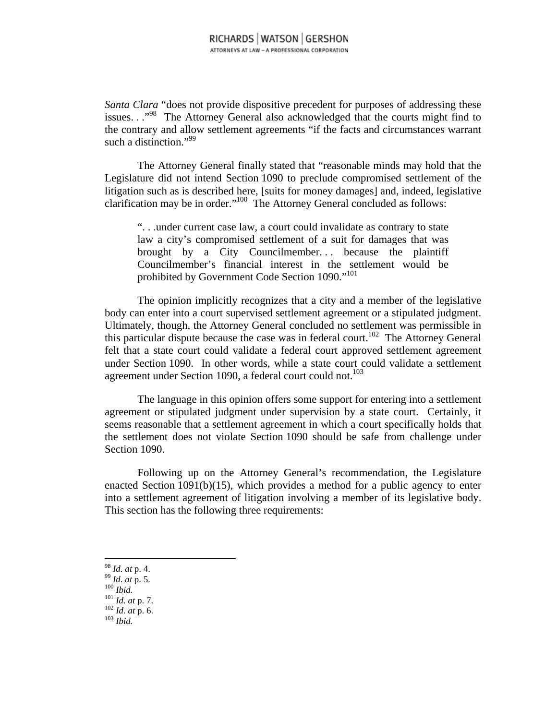*Santa Clara* "does not provide dispositive precedent for purposes of addressing these issues. . .<sup>..98</sup> The Attorney General also acknowledged that the courts might find to the contrary and allow settlement agreements "if the facts and circumstances warrant such a distinction."<sup>99</sup>

The Attorney General finally stated that "reasonable minds may hold that the Legislature did not intend Section 1090 to preclude compromised settlement of the litigation such as is described here, [suits for money damages] and, indeed, legislative clarification may be in order."100 The Attorney General concluded as follows:

". . .under current case law, a court could invalidate as contrary to state law a city's compromised settlement of a suit for damages that was brought by a City Councilmember... because the plaintiff Councilmember's financial interest in the settlement would be prohibited by Government Code Section 1090."<sup>101</sup>

The opinion implicitly recognizes that a city and a member of the legislative body can enter into a court supervised settlement agreement or a stipulated judgment. Ultimately, though, the Attorney General concluded no settlement was permissible in this particular dispute because the case was in federal court.<sup>102</sup> The Attorney General felt that a state court could validate a federal court approved settlement agreement under Section 1090. In other words, while a state court could validate a settlement agreement under Section 1090, a federal court could not.<sup>103</sup>

The language in this opinion offers some support for entering into a settlement agreement or stipulated judgment under supervision by a state court. Certainly, it seems reasonable that a settlement agreement in which a court specifically holds that the settlement does not violate Section 1090 should be safe from challenge under Section 1090.

Following up on the Attorney General's recommendation, the Legislature enacted Section 1091(b)(15), which provides a method for a public agency to enter into a settlement agreement of litigation involving a member of its legislative body. This section has the following three requirements:

- 
- 
- 98 *Id. at* p. 4. 99 *Id. at* p. 5. 100 *Ibid.* 101 *Id. at* p. 7. 102 *Id. at* p. 6. 103 *Ibid.*
- 
-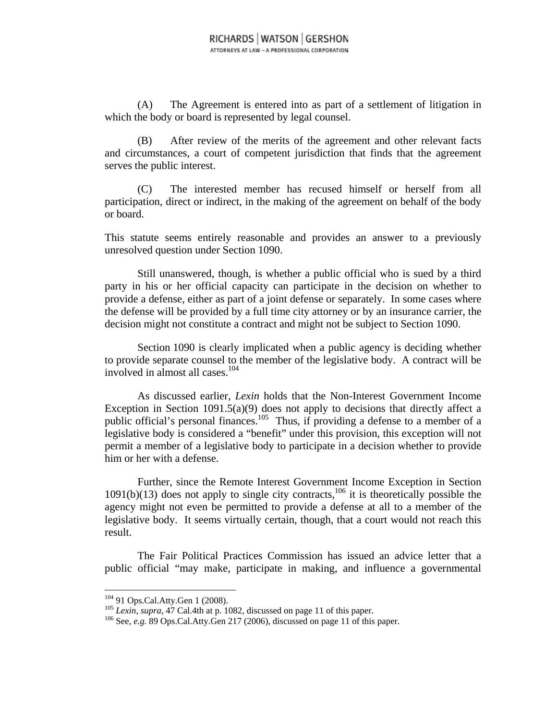(A) The Agreement is entered into as part of a settlement of litigation in which the body or board is represented by legal counsel.

(B) After review of the merits of the agreement and other relevant facts and circumstances, a court of competent jurisdiction that finds that the agreement serves the public interest.

(C) The interested member has recused himself or herself from all participation, direct or indirect, in the making of the agreement on behalf of the body or board.

This statute seems entirely reasonable and provides an answer to a previously unresolved question under Section 1090.

Still unanswered, though, is whether a public official who is sued by a third party in his or her official capacity can participate in the decision on whether to provide a defense, either as part of a joint defense or separately. In some cases where the defense will be provided by a full time city attorney or by an insurance carrier, the decision might not constitute a contract and might not be subject to Section 1090.

Section 1090 is clearly implicated when a public agency is deciding whether to provide separate counsel to the member of the legislative body. A contract will be involved in almost all cases.104

As discussed earlier, *Lexin* holds that the Non-Interest Government Income Exception in Section 1091.5(a)(9) does not apply to decisions that directly affect a public official's personal finances.<sup>105</sup> Thus, if providing a defense to a member of a legislative body is considered a "benefit" under this provision, this exception will not permit a member of a legislative body to participate in a decision whether to provide him or her with a defense.

Further, since the Remote Interest Government Income Exception in Section 1091(b)(13) does not apply to single city contracts,<sup>106</sup> it is theoretically possible the agency might not even be permitted to provide a defense at all to a member of the legislative body. It seems virtually certain, though, that a court would not reach this result.

The Fair Political Practices Commission has issued an advice letter that a public official "may make, participate in making, and influence a governmental

<sup>&</sup>lt;sup>104</sup> 91 Ops.Cal.Atty.Gen 1 (2008).<br><sup>105</sup> *Lexin*, *supra*, 47 Cal.4th at p. 1082, discussed on page 11 of this paper. <sup>106</sup> See, *e.g.* 89 Ops.Cal.Atty.Gen 217 (2006), discussed on page 11 of this paper.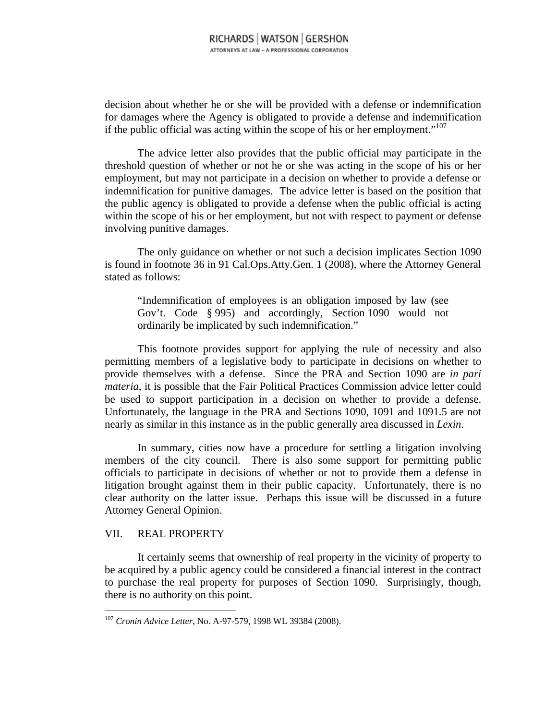decision about whether he or she will be provided with a defense or indemnification for damages where the Agency is obligated to provide a defense and indemnification if the public official was acting within the scope of his or her employment."<sup>107</sup>

The advice letter also provides that the public official may participate in the threshold question of whether or not he or she was acting in the scope of his or her employment, but may not participate in a decision on whether to provide a defense or indemnification for punitive damages. The advice letter is based on the position that the public agency is obligated to provide a defense when the public official is acting within the scope of his or her employment, but not with respect to payment or defense involving punitive damages.

The only guidance on whether or not such a decision implicates Section 1090 is found in footnote 36 in 91 Cal.Ops.Atty.Gen. 1 (2008), where the Attorney General stated as follows:

"Indemnification of employees is an obligation imposed by law (see Gov't. Code § 995) and accordingly, Section 1090 would not ordinarily be implicated by such indemnification."

This footnote provides support for applying the rule of necessity and also permitting members of a legislative body to participate in decisions on whether to provide themselves with a defense. Since the PRA and Section 1090 are *in pari materia*, it is possible that the Fair Political Practices Commission advice letter could be used to support participation in a decision on whether to provide a defense. Unfortunately, the language in the PRA and Sections 1090, 1091 and 1091.5 are not nearly as similar in this instance as in the public generally area discussed in *Lexin*.

In summary, cities now have a procedure for settling a litigation involving members of the city council. There is also some support for permitting public officials to participate in decisions of whether or not to provide them a defense in litigation brought against them in their public capacity. Unfortunately, there is no clear authority on the latter issue. Perhaps this issue will be discussed in a future Attorney General Opinion.

#### VII. REAL PROPERTY

 $\overline{a}$ 

It certainly seems that ownership of real property in the vicinity of property to be acquired by a public agency could be considered a financial interest in the contract to purchase the real property for purposes of Section 1090. Surprisingly, though, there is no authority on this point.

<sup>107</sup> *Cronin Advice Letter*, No. A-97-579, 1998 WL 39384 (2008).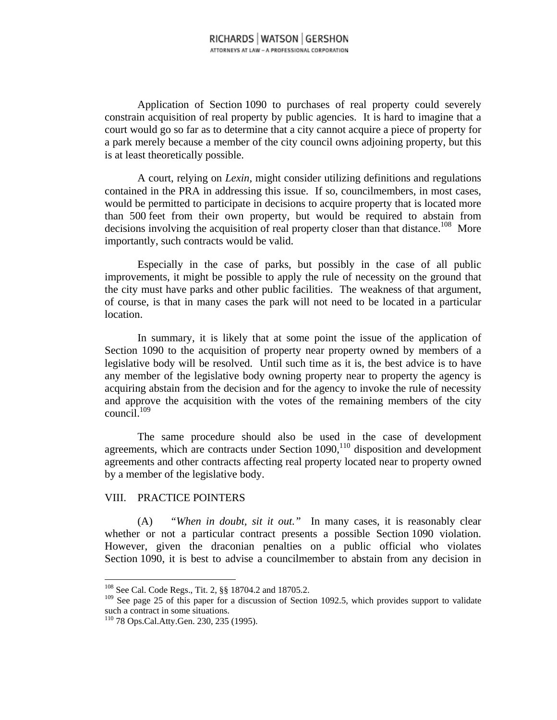Application of Section 1090 to purchases of real property could severely constrain acquisition of real property by public agencies. It is hard to imagine that a court would go so far as to determine that a city cannot acquire a piece of property for a park merely because a member of the city council owns adjoining property, but this is at least theoretically possible.

A court, relying on *Lexin*, might consider utilizing definitions and regulations contained in the PRA in addressing this issue. If so, councilmembers, in most cases, would be permitted to participate in decisions to acquire property that is located more than 500 feet from their own property, but would be required to abstain from decisions involving the acquisition of real property closer than that distance.<sup>108</sup> More importantly, such contracts would be valid.

Especially in the case of parks, but possibly in the case of all public improvements, it might be possible to apply the rule of necessity on the ground that the city must have parks and other public facilities. The weakness of that argument, of course, is that in many cases the park will not need to be located in a particular location.

In summary, it is likely that at some point the issue of the application of Section 1090 to the acquisition of property near property owned by members of a legislative body will be resolved. Until such time as it is, the best advice is to have any member of the legislative body owning property near to property the agency is acquiring abstain from the decision and for the agency to invoke the rule of necessity and approve the acquisition with the votes of the remaining members of the city  $\text{council.}^{11}_{109}$ 

The same procedure should also be used in the case of development agreements, which are contracts under Section 1090,<sup>110</sup> disposition and development agreements and other contracts affecting real property located near to property owned by a member of the legislative body.

#### VIII. PRACTICE POINTERS

(A) *"When in doubt, sit it out."* In many cases, it is reasonably clear whether or not a particular contract presents a possible Section 1090 violation. However, given the draconian penalties on a public official who violates Section 1090, it is best to advise a councilmember to abstain from any decision in

<sup>108</sup> See Cal. Code Regs., Tit. 2, §§ 18704.2 and 18705.2.

<sup>&</sup>lt;sup>109</sup> See page 25 of this paper for a discussion of Section 1092.5, which provides support to validate such a contract in some situations.

<sup>110 78</sup> Ops.Cal.Atty.Gen. 230, 235 (1995).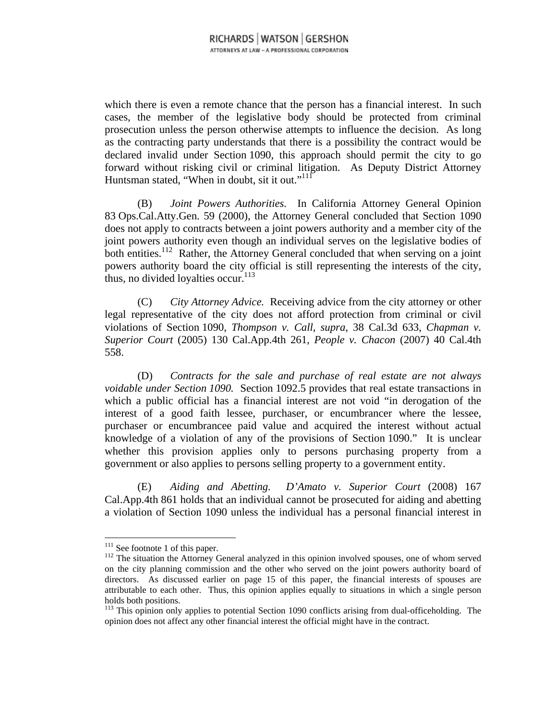which there is even a remote chance that the person has a financial interest. In such cases, the member of the legislative body should be protected from criminal prosecution unless the person otherwise attempts to influence the decision. As long as the contracting party understands that there is a possibility the contract would be declared invalid under Section 1090, this approach should permit the city to go forward without risking civil or criminal litigation. As Deputy District Attorney Huntsman stated, "When in doubt, sit it out."<sup>111</sup>

(B) *Joint Powers Authorities.* In California Attorney General Opinion 83 Ops.Cal.Atty.Gen. 59 (2000), the Attorney General concluded that Section 1090 does not apply to contracts between a joint powers authority and a member city of the joint powers authority even though an individual serves on the legislative bodies of both entities.<sup>112</sup> Rather, the Attorney General concluded that when serving on a joint powers authority board the city official is still representing the interests of the city, thus, no divided loyalties occur. $113$ 

(C) *City Attorney Advice.* Receiving advice from the city attorney or other legal representative of the city does not afford protection from criminal or civil violations of Section 1090, *Thompson v. Call*, *supra*, 38 Cal.3d 633, *Chapman v. Superior Court* (2005) 130 Cal.App.4th 261, *People v. Chacon* (2007) 40 Cal.4th 558.

(D) *Contracts for the sale and purchase of real estate are not always voidable under Section 1090.* Section 1092.5 provides that real estate transactions in which a public official has a financial interest are not void "in derogation of the interest of a good faith lessee, purchaser, or encumbrancer where the lessee, purchaser or encumbrancee paid value and acquired the interest without actual knowledge of a violation of any of the provisions of Section 1090." It is unclear whether this provision applies only to persons purchasing property from a government or also applies to persons selling property to a government entity.

(E) *Aiding and Abetting. D'Amato v. Superior Court* (2008) 167 Cal.App.4th 861 holds that an individual cannot be prosecuted for aiding and abetting a violation of Section 1090 unless the individual has a personal financial interest in

 $111$  See footnote 1 of this paper.

<sup>&</sup>lt;sup>112</sup> The situation the Attorney General analyzed in this opinion involved spouses, one of whom served on the city planning commission and the other who served on the joint powers authority board of directors. As discussed earlier on page 15 of this paper, the financial interests of spouses are attributable to each other. Thus, this opinion applies equally to situations in which a single person holds both positions.

<sup>&</sup>lt;sup>113</sup> This opinion only applies to potential Section 1090 conflicts arising from dual-officeholding. The opinion does not affect any other financial interest the official might have in the contract.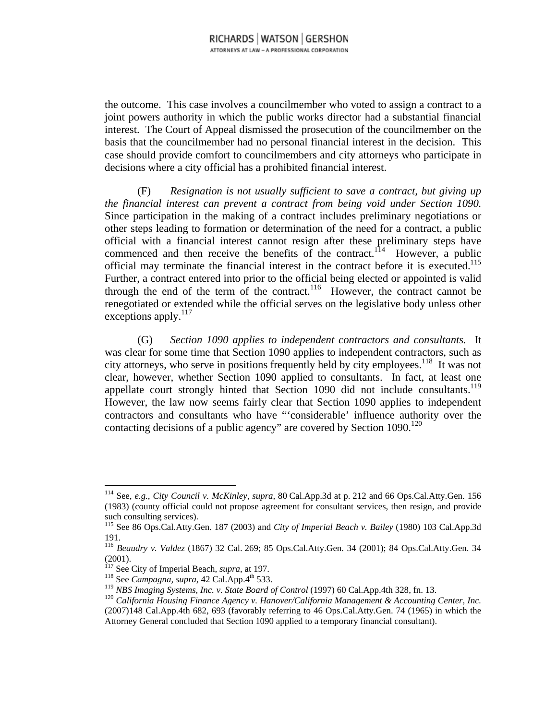the outcome. This case involves a councilmember who voted to assign a contract to a joint powers authority in which the public works director had a substantial financial interest. The Court of Appeal dismissed the prosecution of the councilmember on the basis that the councilmember had no personal financial interest in the decision. This case should provide comfort to councilmembers and city attorneys who participate in decisions where a city official has a prohibited financial interest.

(F) *Resignation is not usually sufficient to save a contract, but giving up the financial interest can prevent a contract from being void under Section 1090.* Since participation in the making of a contract includes preliminary negotiations or other steps leading to formation or determination of the need for a contract, a public official with a financial interest cannot resign after these preliminary steps have commenced and then receive the benefits of the contract.<sup>114</sup> However, a public official may terminate the financial interest in the contract before it is executed.<sup>115</sup> Further, a contract entered into prior to the official being elected or appointed is valid through the end of the term of the contract.<sup>116</sup> However, the contract cannot be renegotiated or extended while the official serves on the legislative body unless other exceptions apply.<sup>117</sup>

(G) *Section 1090 applies to independent contractors and consultants.* It was clear for some time that Section 1090 applies to independent contractors, such as city attorneys, who serve in positions frequently held by city employees.<sup>118</sup> It was not clear, however, whether Section 1090 applied to consultants. In fact, at least one appellate court strongly hinted that Section 1090 did not include consultants.<sup>119</sup> However, the law now seems fairly clear that Section 1090 applies to independent contractors and consultants who have "'considerable' influence authority over the contacting decisions of a public agency" are covered by Section  $1090$ <sup>120</sup>

<sup>114</sup> See, *e.g.*, *City Council v. McKinley, supra,* 80 Cal.App.3d at p. 212 and 66 Ops.Cal.Atty.Gen. 156 (1983) (county official could not propose agreement for consultant services, then resign, and provide such consulting services).

<sup>115</sup> See 86 Ops.Cal.Atty.Gen. 187 (2003) and *City of Imperial Beach v. Bailey* (1980) 103 Cal.App.3d 191.

<sup>116</sup> *Beaudry v. Valdez* (1867) 32 Cal. 269; 85 Ops.Cal.Atty.Gen. 34 (2001); 84 Ops.Cal.Atty.Gen. 34

<sup>(2001).&</sup>lt;br><sup>117</sup> See City of Imperial Beach, *supra*, at 197.

<sup>118</sup> See *Campagna, supra,* 42 Cal.App.4<sup>th</sup> 533.<br><sup>119</sup> NBS Imaging Systems, Inc. v. State Board of Control (1997) 60 Cal.App.4th 328, fn. 13.

<sup>&</sup>lt;sup>120</sup> California Housing Finance Agency v. Hanover/California Management & Accounting Center, Inc. (2007)148 Cal.App.4th 682, 693 (favorably referring to 46 Ops.Cal.Atty.Gen. 74 (1965) in which the Attorney General concluded that Section 1090 applied to a temporary financial consultant).